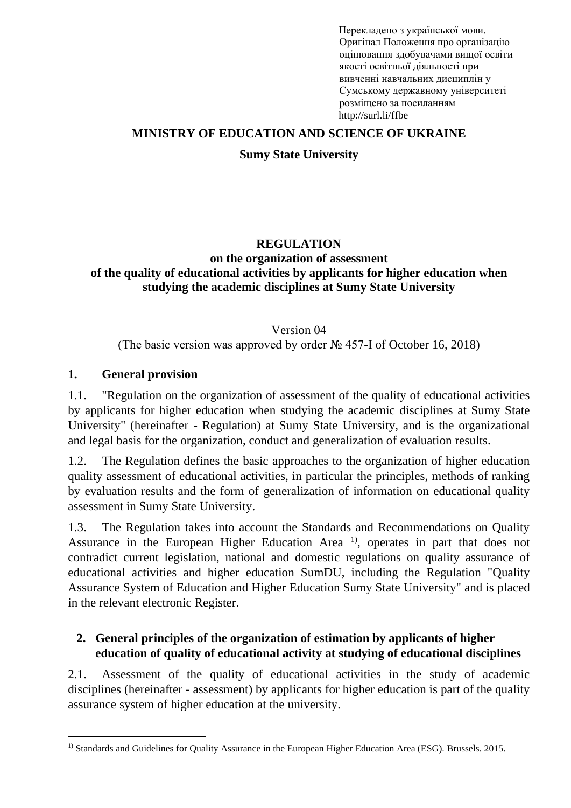Перекладено з української мови. Оригінал Положення про організацію оцінювання здобувачами вищої освіти якості освітньої діяльності при вивченні навчальних дисциплін у Сумському державному університеті розміщено за посиланням http://surl.li/ffbe

## **MINISTRY OF EDUCATION AND SCIENCE OF UKRAINE**

### **Sumy State University**

## **REGULATION**

### **on the organization of assessment of the quality of educational activities by applicants for higher education when studying the academic disciplines at Sumy State University**

### Version 04 (The basic version was approved by order  $\mathcal{N}_2$  457-I of October 16, 2018)

## **1. General provision**

1.1. "Regulation on the organization of assessment of the quality of educational activities by applicants for higher education when studying the academic disciplines at Sumy State University" (hereinafter - Regulation) at Sumy State University, and is the organizational and legal basis for the organization, conduct and generalization of evaluation results.

1.2. The Regulation defines the basic approaches to the organization of higher education quality assessment of educational activities, in particular the principles, methods of ranking by evaluation results and the form of generalization of information on educational quality assessment in Sumy State University.

1.3. The Regulation takes into account the Standards and Recommendations on Quality Assurance in the European Higher Education Area <sup>1</sup>, operates in part that does not contradict current legislation, national and domestic regulations on quality assurance of educational activities and higher education SumDU, including the Regulation "Quality Assurance System of Education and Higher Education Sumy State University" and is placed in the relevant electronic Register.

## **2. General principles of the organization of estimation by applicants of higher education of quality of educational activity at studying of educational disciplines**

2.1. Assessment of the quality of educational activities in the study of academic disciplines (hereinafter - assessment) by applicants for higher education is part of the quality assurance system of higher education at the university.

<sup>&</sup>lt;sup>1)</sup> Standards and Guidelines for Quality Assurance in the European Higher Education Area (ESG). Brussels. 2015.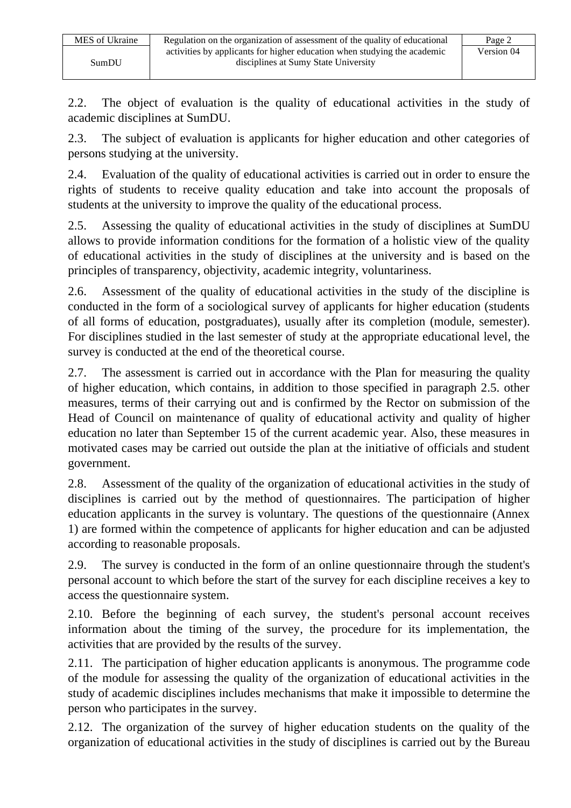2.2. The object of evaluation is the quality of educational activities in the study of academic disciplines at SumDU.

2.3. The subject of evaluation is applicants for higher education and other categories of persons studying at the university.

2.4. Evaluation of the quality of educational activities is carried out in order to ensure the rights of students to receive quality education and take into account the proposals of students at the university to improve the quality of the educational process.

2.5. Assessing the quality of educational activities in the study of disciplines at SumDU allows to provide information conditions for the formation of a holistic view of the quality of educational activities in the study of disciplines at the university and is based on the principles of transparency, objectivity, academic integrity, voluntariness.

2.6. Assessment of the quality of educational activities in the study of the discipline is conducted in the form of a sociological survey of applicants for higher education (students of all forms of education, postgraduates), usually after its completion (module, semester). For disciplines studied in the last semester of study at the appropriate educational level, the survey is conducted at the end of the theoretical course.

2.7. The assessment is carried out in accordance with the Plan for measuring the quality of higher education, which contains, in addition to those specified in paragraph 2.5. other measures, terms of their carrying out and is confirmed by the Rector on submission of the Head of Council on maintenance of quality of educational activity and quality of higher education no later than September 15 of the current academic year. Also, these measures in motivated cases may be carried out outside the plan at the initiative of officials and student government.

2.8. Assessment of the quality of the organization of educational activities in the study of disciplines is carried out by the method of questionnaires. The participation of higher education applicants in the survey is voluntary. The questions of the questionnaire (Annex 1) are formed within the competence of applicants for higher education and can be adjusted according to reasonable proposals.

2.9. The survey is conducted in the form of an online questionnaire through the student's personal account to which before the start of the survey for each discipline receives a key to access the questionnaire system.

2.10. Before the beginning of each survey, the student's personal account receives information about the timing of the survey, the procedure for its implementation, the activities that are provided by the results of the survey.

2.11. The participation of higher education applicants is anonymous. The programme code of the module for assessing the quality of the organization of educational activities in the study of academic disciplines includes mechanisms that make it impossible to determine the person who participates in the survey.

2.12. The organization of the survey of higher education students on the quality of the organization of educational activities in the study of disciplines is carried out by the Bureau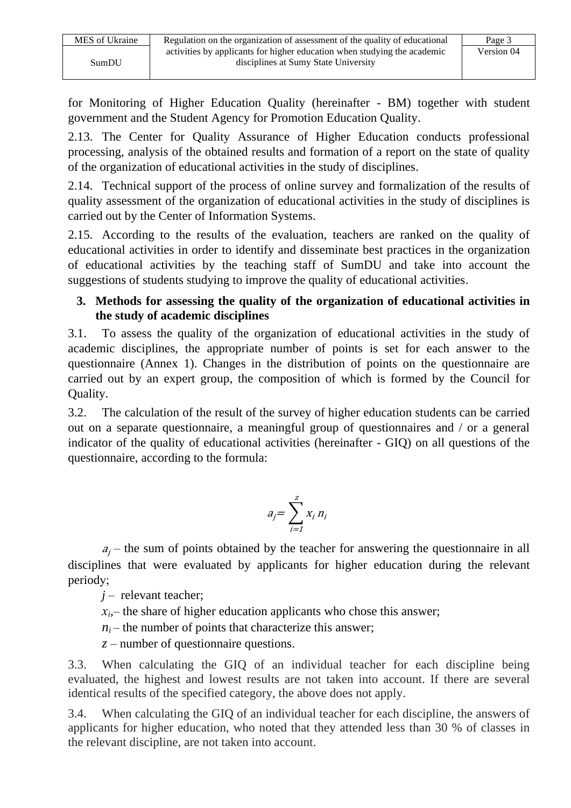for Monitoring of Higher Education Quality (hereinafter - BM) together with student government and the Student Agency for Promotion Education Quality.

2.13. The Center for Quality Assurance of Higher Education conducts professional processing, analysis of the obtained results and formation of a report on the state of quality of the organization of educational activities in the study of disciplines.

2.14. Technical support of the process of online survey and formalization of the results of quality assessment of the organization of educational activities in the study of disciplines is carried out by the Center of Information Systems.

2.15. According to the results of the evaluation, teachers are ranked on the quality of educational activities in order to identify and disseminate best practices in the organization of educational activities by the teaching staff of SumDU and take into account the suggestions of students studying to improve the quality of educational activities.

# **3. Methods for assessing the quality of the organization of educational activities in the study of academic disciplines**

3.1. To assess the quality of the organization of educational activities in the study of academic disciplines, the appropriate number of points is set for each answer to the questionnaire (Annex 1). Changes in the distribution of points on the questionnaire are carried out by an expert group, the composition of which is formed by the Council for Quality.

3.2. The calculation of the result of the survey of higher education students can be carried out on a separate questionnaire, a meaningful group of questionnaires and / or a general indicator of the quality of educational activities (hereinafter - GIQ) on all questions of the questionnaire, according to the formula:

$$
a_j = \sum_{i=1}^z x_i n_i
$$

 $a_i$  – the sum of points obtained by the teacher for answering the questionnaire in all disciplines that were evaluated by applicants for higher education during the relevant periodу;

 $j$  – relevant teacher;

 $x_i$ — the share of higher education applicants who chose this answer;

 $n_i$  – the number of points that characterize this answer;

*z* – number of questionnaire questions.

3.3. When calculating the GIQ of an individual teacher for each discipline being evaluated, the highest and lowest results are not taken into account. If there are several identical results of the specified category, the above does not apply.

3.4. When calculating the GIQ of an individual teacher for each discipline, the answers of applicants for higher education, who noted that they attended less than 30 % of classes in the relevant discipline, are not taken into account.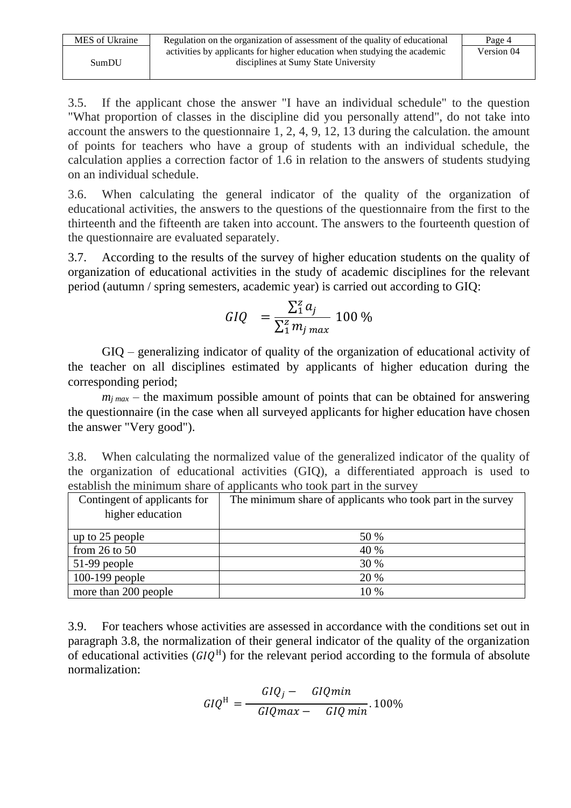| MES of Ukraine | Regulation on the organization of assessment of the quality of educational | Page 4     |
|----------------|----------------------------------------------------------------------------|------------|
|                | activities by applicants for higher education when studying the academic   | Version 04 |
| SumDU          | disciplines at Sumy State University                                       |            |

3.5. If the applicant chose the answer "I have an individual schedule" to the question "What proportion of classes in the discipline did you personally attend", do not take into account the answers to the questionnaire 1, 2, 4, 9, 12, 13 during the calculation. the amount of points for teachers who have a group of students with an individual schedule, the calculation applies a correction factor of 1.6 in relation to the answers of students studying on an individual schedule.

3.6. When calculating the general indicator of the quality of the organization of educational activities, the answers to the questions of the questionnaire from the first to the thirteenth and the fifteenth are taken into account. The answers to the fourteenth question of the questionnaire are evaluated separately.

3.7. According to the results of the survey of higher education students on the quality of organization of educational activities in the study of academic disciplines for the relevant period (autumn / spring semesters, academic year) is carried out according to GIQ:

$$
GIQ = \frac{\sum_{1}^{z} a_{j}}{\sum_{1}^{z} m_{j} \max} 100\,\%
$$

GIQ – generalizing indicator of quality of the organization of educational activity of the teacher on all disciplines estimated by applicants of higher education during the corresponding period;

 $m_{i max}$  – the maximum possible amount of points that can be obtained for answering the questionnaire (in the case when all surveyed applicants for higher education have chosen the answer "Very good").

3.8. When calculating the normalized value of the generalized indicator of the quality of the organization of educational activities (GIQ), a differentiated approach is used to establish the minimum share of applicants who took part in the survey

| Contingent of applicants for | The minimum share of applicants who took part in the survey |
|------------------------------|-------------------------------------------------------------|
| higher education             |                                                             |
|                              |                                                             |
| up to 25 people              | 50 %                                                        |
| from $26$ to $50$            | 40 %                                                        |
| $51-99$ people               | 30 %                                                        |
| $100-199$ people             | 20 %                                                        |
| more than 200 people         | 10 %                                                        |

3.9. For teachers whose activities are assessed in accordance with the conditions set out in paragraph 3.8, the normalization of their general indicator of the quality of the organization of educational activities  $(GIQ^H)$  for the relevant period according to the formula of absolute normalization:

$$
GIQ^{\rm H} = \frac{GIQ_j - GIQmin}{GIQmax - GIQmin}.100\%
$$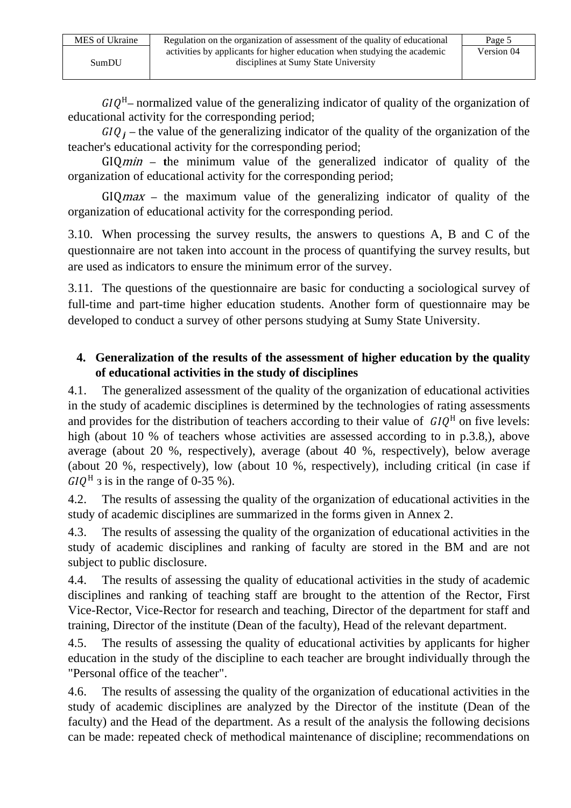| MES of Ukraine | Regulation on the organization of assessment of the quality of educational                                       | Page 5     |
|----------------|------------------------------------------------------------------------------------------------------------------|------------|
| SumDU          | activities by applicants for higher education when studying the academic<br>disciplines at Sumy State University | Version 04 |

Н**–** normalized value of the generalizing indicator of quality of the organization of educational activity for the corresponding period;

 **–** the value of the generalizing indicator of the quality of the organization of the teacher's educational activity for the corresponding period;

GIQmin **– t**he minimum value of the generalized indicator of quality of the organization of educational activity for the corresponding period;

GIQmax **–** the maximum value of the generalizing indicator of quality of the organization of educational activity for the corresponding period.

3.10. When processing the survey results, the answers to questions A, B and C of the questionnaire are not taken into account in the process of quantifying the survey results, but are used as indicators to ensure the minimum error of the survey.

3.11. The questions of the questionnaire are basic for conducting a sociological survey of full-time and part-time higher education students. Another form of questionnaire may be developed to conduct a survey of other persons studying at Sumy State University.

# **4. Generalization of the results of the assessment of higher education by the quality of educational activities in the study of disciplines**

4.1. The generalized assessment of the quality of the organization of educational activities in the study of academic disciplines is determined by the technologies of rating assessments and provides for the distribution of teachers according to their value of  $GIQ<sup>H</sup>$  on five levels: high (about 10 % of teachers whose activities are assessed according to in p.3.8), above average (about 20 %, respectively), average (about 40 %, respectively), below average (about 20 %, respectively), low (about 10 %, respectively), including critical (in case if  $GIQ<sup>H</sup>$  3 is in the range of 0-35 %).

4.2. The results of assessing the quality of the organization of educational activities in the study of academic disciplines are summarized in the forms given in Annex 2.

4.3. The results of assessing the quality of the organization of educational activities in the study of academic disciplines and ranking of faculty are stored in the BM and are not subject to public disclosure.

4.4. The results of assessing the quality of educational activities in the study of academic disciplines and ranking of teaching staff are brought to the attention of the Rector, First Vice-Rector, Vice-Rector for research and teaching, Director of the department for staff and training, Director of the institute (Dean of the faculty), Head of the relevant department.

4.5. The results of assessing the quality of educational activities by applicants for higher education in the study of the discipline to each teacher are brought individually through the "Personal office of the teacher".

4.6. The results of assessing the quality of the organization of educational activities in the study of academic disciplines are analyzed by the Director of the institute (Dean of the faculty) and the Head of the department. As a result of the analysis the following decisions can be made: repeated check of methodical maintenance of discipline; recommendations on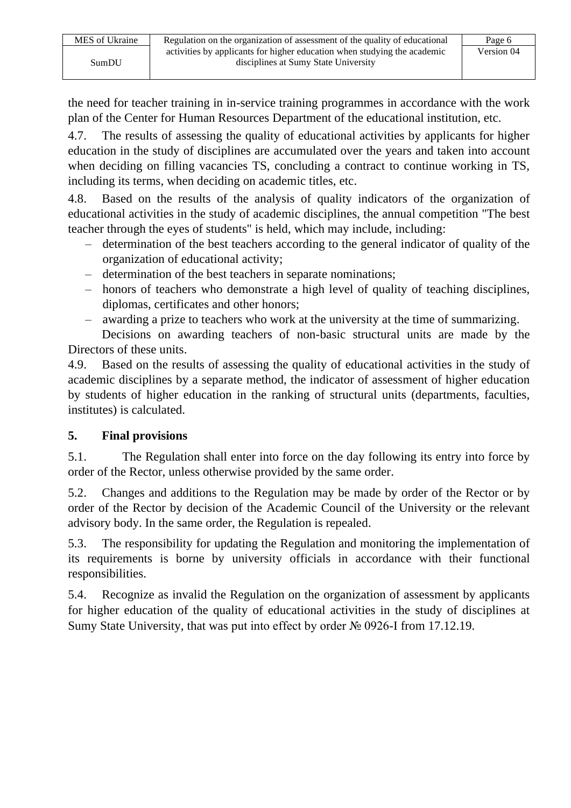the need for teacher training in in-service training programmes in accordance with the work plan of the Center for Human Resources Department of the educational institution, etc.

4.7. The results of assessing the quality of educational activities by applicants for higher education in the study of disciplines are accumulated over the years and taken into account when deciding on filling vacancies TS, concluding a contract to continue working in TS. including its terms, when deciding on academic titles, etc.

4.8. Based on the results of the analysis of quality indicators of the organization of educational activities in the study of academic disciplines, the annual competition "The best teacher through the eyes of students" is held, which may include, including:

- determination of the best teachers according to the general indicator of quality of the organization of educational activity;
- determination of the best teachers in separate nominations;
- honors of teachers who demonstrate a high level of quality of teaching disciplines, diplomas, certificates and other honors;
- awarding a prize to teachers who work at the university at the time of summarizing.

Decisions on awarding teachers of non-basic structural units are made by the Directors of these units.

4.9. Based on the results of assessing the quality of educational activities in the study of academic disciplines by a separate method, the indicator of assessment of higher education by students of higher education in the ranking of structural units (departments, faculties, institutes) is calculated.

# **5. Final provisions**

5.1. The Regulation shall enter into force on the day following its entry into force by order of the Rector, unless otherwise provided by the same order.

5.2. Changes and additions to the Regulation may be made by order of the Rector or by order of the Rector by decision of the Academic Council of the University or the relevant advisory body. In the same order, the Regulation is repealed.

5.3. The responsibility for updating the Regulation and monitoring the implementation of its requirements is borne by university officials in accordance with their functional responsibilities.

5.4. Recognize as invalid the Regulation on the organization of assessment by applicants for higher education of the quality of educational activities in the study of disciplines at Sumy State University, that was put into effect by order № 0926-I from 17.12.19.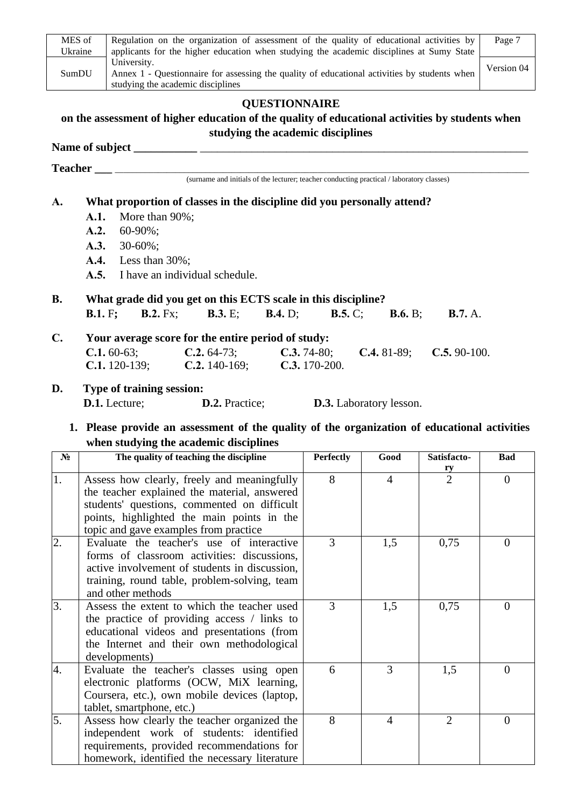| MES of  | Regulation on the organization of assessment of the quality of educational activities by     | Page 7     |
|---------|----------------------------------------------------------------------------------------------|------------|
| Ukraine | applicants for the higher education when studying the academic disciplines at Sumy State     |            |
|         | University.                                                                                  | Version 04 |
| SumDU   | Annex 1 - Questionnaire for assessing the quality of educational activities by students when |            |
|         | studying the academic disciplines                                                            |            |

#### **QUESTIONNAIRE**

#### **on the assessment of higher education of the quality of educational activities by students when studying the academic disciplines**

#### Name of subject

**Teacher \_\_\_** \_\_\_\_\_\_\_\_\_\_\_\_\_\_\_\_\_\_\_\_\_\_\_\_\_\_\_\_\_\_\_\_\_\_\_\_\_\_\_\_\_\_\_\_\_\_\_\_\_\_\_\_\_\_\_\_\_\_\_\_\_\_\_\_\_\_\_\_\_\_\_\_\_\_\_\_\_\_\_\_\_\_\_\_\_\_\_\_\_\_\_\_\_\_\_\_

(surname and initials of the lecturer; teacher conducting practical / laboratory classes)

# **А. What proportion of classes in the discipline did you personally attend?**

- **А.1.** More than 90%;
- **А.2.** 60-90%;
- **А.3.** 30-60%;
- **А.4.** Less than 30%;
- **А.5.** I have an individual schedule.

# **В. What grade did you get on this ECTS scale in this discipline? В.1.** F**; В.2.** Fx; **В.3.** E; **В.4.** D; **В.5.** C; **В.6.** B; **В.7.** A. **С. Your average score for the entire period of study:**

### **С.1.** 60-63; **С.2.** 64-73; **С.3.** 74-80; **С.4.** 81-89; **С.5.** 90-100. **С.1.** 120-139; **С.2.** 140-169; **С.3.** 170-200.

# **D. Type of training session:**

**D.1.** Lecture; **D.2.** Practice; **D.3.** Laboratory lesson.

### **1. Please provide an assessment of the quality of the organization of educational activities when studying the academic disciplines**

| $N_2$ | The quality of teaching the discipline                                                                                                                                                                                            | <b>Perfectly</b> | Good           | Satisfacto-          | <b>Bad</b>     |
|-------|-----------------------------------------------------------------------------------------------------------------------------------------------------------------------------------------------------------------------------------|------------------|----------------|----------------------|----------------|
| 1.    | Assess how clearly, freely and meaningfully<br>the teacher explained the material, answered<br>students' questions, commented on difficult<br>points, highlighted the main points in the<br>topic and gave examples from practice | 8                | $\overline{4}$ | ry<br>$\overline{2}$ | $\theta$       |
| 2.    | Evaluate the teacher's use of interactive<br>forms of classroom activities: discussions,<br>active involvement of students in discussion,<br>training, round table, problem-solving, team<br>and other methods                    | 3                | 1,5            | 0,75                 | $\overline{0}$ |
| 3.    | Assess the extent to which the teacher used<br>the practice of providing access / links to<br>educational videos and presentations (from<br>the Internet and their own methodological<br>developments)                            | 3                | 1,5            | 0,75                 | $\theta$       |
| 4.    | Evaluate the teacher's classes using open<br>electronic platforms (OCW, MiX learning,<br>Coursera, etc.), own mobile devices (laptop,<br>tablet, smartphone, etc.)                                                                | 6                | 3              | 1,5                  | $\theta$       |
| 5.    | Assess how clearly the teacher organized the<br>independent work of students: identified<br>requirements, provided recommendations for<br>homework, identified the necessary literature                                           | 8                | $\overline{4}$ | $\overline{2}$       | $\theta$       |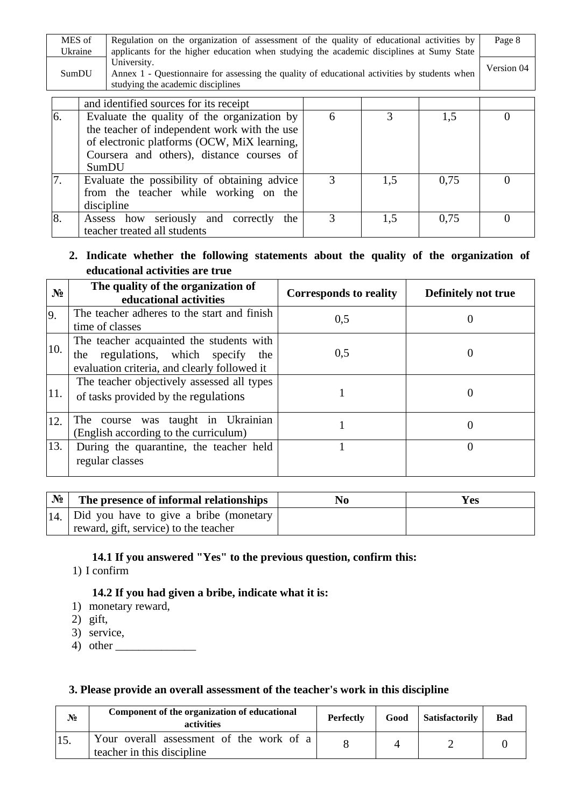| MES of  | Regulation on the organization of assessment of the quality of educational activities by     | Page 8     |
|---------|----------------------------------------------------------------------------------------------|------------|
| Ukraine | applicants for the higher education when studying the academic disciplines at Sumy State     |            |
|         | University.                                                                                  | Version 04 |
| SumDU   | Annex 1 - Questionnaire for assessing the quality of educational activities by students when |            |
|         | studying the academic disciplines                                                            |            |

|    | and identified sources for its receipt                                                      |   |     |      |  |
|----|---------------------------------------------------------------------------------------------|---|-----|------|--|
| 6. | Evaluate the quality of the organization by<br>the teacher of independent work with the use | 6 |     | 1,5  |  |
|    | of electronic platforms (OCW, MiX learning,<br>Coursera and others), distance courses of    |   |     |      |  |
|    | SumDU                                                                                       |   |     |      |  |
|    | Evaluate the possibility of obtaining advice                                                |   | 1.5 | 0.75 |  |
|    | from the teacher while working on the                                                       |   |     |      |  |
|    | discipline                                                                                  |   |     |      |  |
| 8. | Assess how seriously and correctly the<br>teacher treated all students                      |   | 1,5 | 0,75 |  |

## **2. Indicate whether the following statements about the quality of the organization of educational activities are true**

| N <sub>2</sub> | The quality of the organization of<br>educational activities                                                                      | <b>Corresponds to reality</b> | Definitely not true |
|----------------|-----------------------------------------------------------------------------------------------------------------------------------|-------------------------------|---------------------|
| 9.             | The teacher adheres to the start and finish<br>time of classes                                                                    | 0,5                           | 0                   |
| 10.            | The teacher acquainted the students with<br>the regulations, which specify<br>the<br>evaluation criteria, and clearly followed it | 0,5                           |                     |
| $ 11$ .        | The teacher objectively assessed all types<br>of tasks provided by the regulations                                                |                               | 0                   |
| 12.            | The course was taught in Ukrainian<br>(English according to the curriculum)                                                       |                               | 0                   |
| 13.            | During the quarantine, the teacher held<br>regular classes                                                                        |                               |                     |

| $N_2$ | The presence of informal relationships                                                 | No. | Yes |
|-------|----------------------------------------------------------------------------------------|-----|-----|
|       | $ 14 $ Did you have to give a bribe (monetary<br>reward, gift, service) to the teacher |     |     |

**14.1 If you answered "Yes" to the previous question, confirm this:**

1) I confirm

### **14.2 If you had given a bribe, indicate what it is:**

- 1) monetary reward,
- 2) gift,
- 3) service,
- 4) other  $\frac{1}{\sqrt{2}}$

## **3. Please provide an overall assessment of the teacher's work in this discipline**

| N <sub>2</sub> | Component of the organization of educational<br>activities             | <b>Perfectly</b> | Good | <b>Satisfactorily</b> | <b>Bad</b> |
|----------------|------------------------------------------------------------------------|------------------|------|-----------------------|------------|
|                | Your overall assessment of the work of a<br>teacher in this discipline |                  |      |                       |            |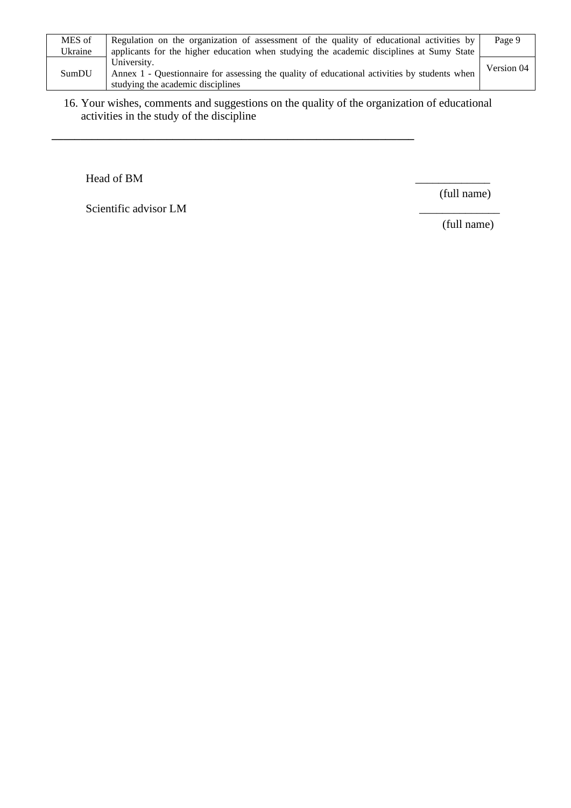| MES of  | Regulation on the organization of assessment of the quality of educational activities by     | Page 9     |
|---------|----------------------------------------------------------------------------------------------|------------|
| Ukraine | applicants for the higher education when studying the academic disciplines at Sumy State     |            |
|         | University.                                                                                  | Version 04 |
| SumDU   | Annex 1 - Questionnaire for assessing the quality of educational activities by students when |            |
|         | studying the academic disciplines                                                            |            |

16. Your wishes, comments and suggestions on the quality of the organization of educational activities in the study of the discipline

**\_\_\_\_\_\_\_\_\_\_\_\_\_\_\_\_\_\_\_\_\_\_\_\_\_\_\_\_\_\_\_\_\_\_\_\_\_\_\_\_\_\_\_\_\_\_\_\_\_\_\_\_\_\_\_\_\_\_\_\_\_\_\_**

Head of BM

Scientific advisor LM

(full name)

(full name)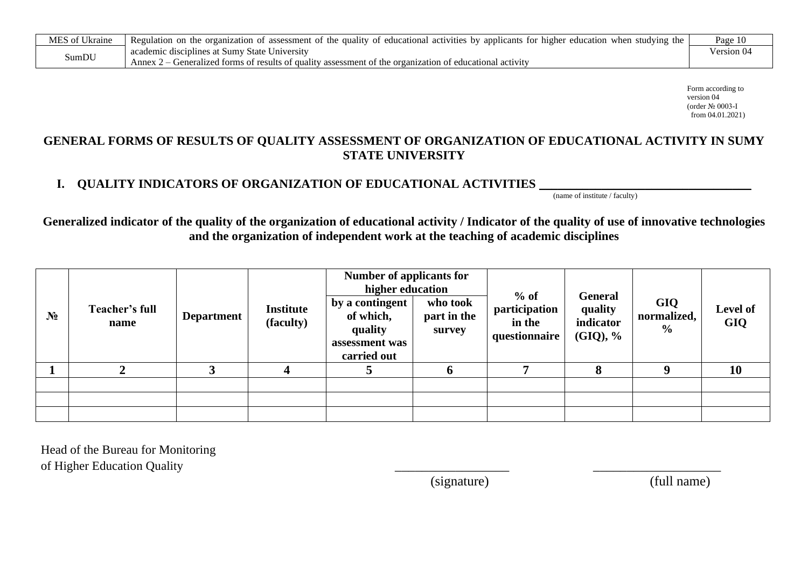Form according to version 04 (order № 0003-I from 04.01.2021)

## **GENERAL FORMS OF RESULTS OF QUALITY ASSESSMENT OF ORGANIZATION OF EDUCATIONAL ACTIVITY IN SUMY STATE UNIVERSITY**

# **I. QUALITY INDICATORS OF ORGANIZATION OF EDUCATIONAL ACTIVITIES \_\_\_\_\_\_\_\_\_\_\_\_\_\_\_\_**

(name of institute / faculty)

# **Generalized indicator of the quality of the organization of educational activity / Indicator of the quality of use of innovative technologies and the organization of independent work at the teaching of academic disciplines**

|       |                        |            | Number of applicants for<br>higher education |                                                                          |                                   |                                                    |                                                       |                                     |                        |
|-------|------------------------|------------|----------------------------------------------|--------------------------------------------------------------------------|-----------------------------------|----------------------------------------------------|-------------------------------------------------------|-------------------------------------|------------------------|
| $N_2$ | Teacher's full<br>name | Department | <b>Institute</b><br>(faculty)                | by a contingent<br>of which,<br>quality<br>assessment was<br>carried out | who took<br>part in the<br>survey | $%$ of<br>participation<br>in the<br>questionnaire | <b>General</b><br>quality<br>indicator<br>$(GIQ), \%$ | GIQ<br>normalized,<br>$\frac{6}{9}$ | <b>Level of</b><br>GIQ |
|       |                        |            |                                              |                                                                          | o                                 |                                                    | 8                                                     |                                     | 10                     |
|       |                        |            |                                              |                                                                          |                                   |                                                    |                                                       |                                     |                        |
|       |                        |            |                                              |                                                                          |                                   |                                                    |                                                       |                                     |                        |
|       |                        |            |                                              |                                                                          |                                   |                                                    |                                                       |                                     |                        |

Head of the Bureau for Monitoring of Higher Education Ouality

(signature) (full name)